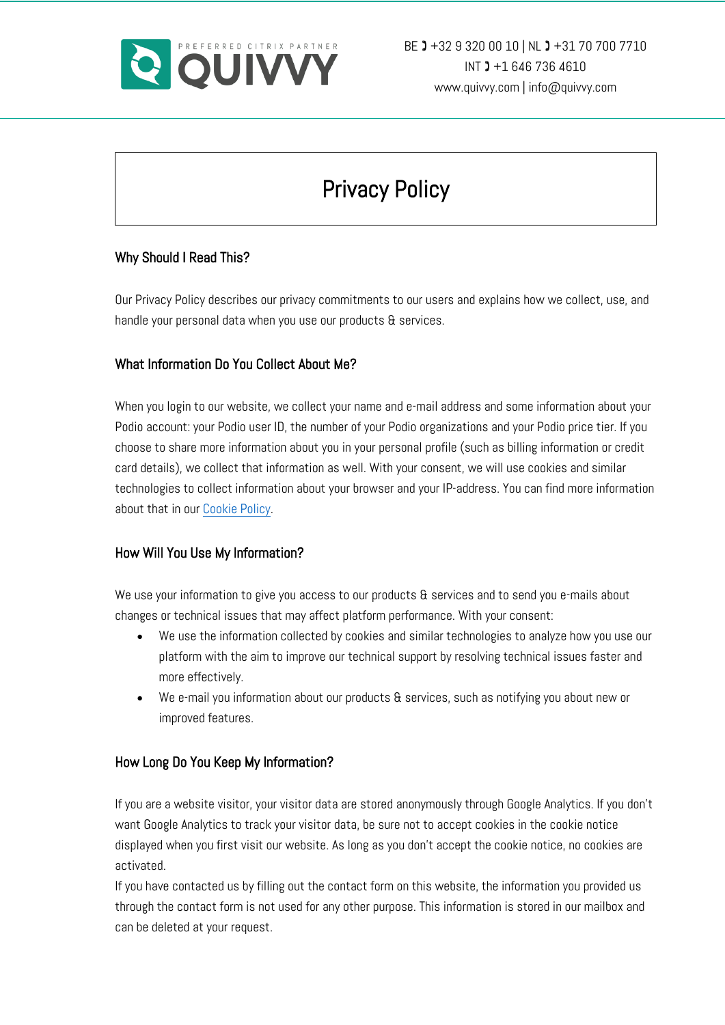

# Privacy Policy

### Why Should I Read This?

Our Privacy Policy describes our privacy commitments to our users and explains how we collect, use, and handle your personal data when you use our products & services.

### What Information Do You Collect About Me?

When you login to our website, we collect your name and e-mail address and some information about your Podio account: your Podio user ID, the number of your Podio organizations and your Podio price tier. If you choose to share more information about you in your personal profile (such as billing information or credit card details), we collect that information as well. With your consent, we will use cookies and similar technologies to collect information about your browser and your IP-address. You can find more information about that in our Cookie Policy.

#### How Will You Use My Information?

We use your information to give you access to our products & services and to send you e-mails about changes or technical issues that may affect platform performance. With your consent:

- We use the information collected by cookies and similar technologies to analyze how you use our platform with the aim to improve our technical support by resolving technical issues faster and more effectively.
- We e-mail you information about our products & services, such as notifying you about new or improved features.

#### How Long Do You Keep My Information?

If you are a website visitor, your visitor data are stored anonymously through Google Analytics. If you don't want Google Analytics to track your visitor data, be sure not to accept cookies in the cookie notice displayed when you first visit our website. As long as you don't accept the cookie notice, no cookies are activated.

If you have contacted us by filling out the contact form on this website, the information you provided us through the contact form is not used for any other purpose. This information is stored in our mailbox and can be deleted at your request.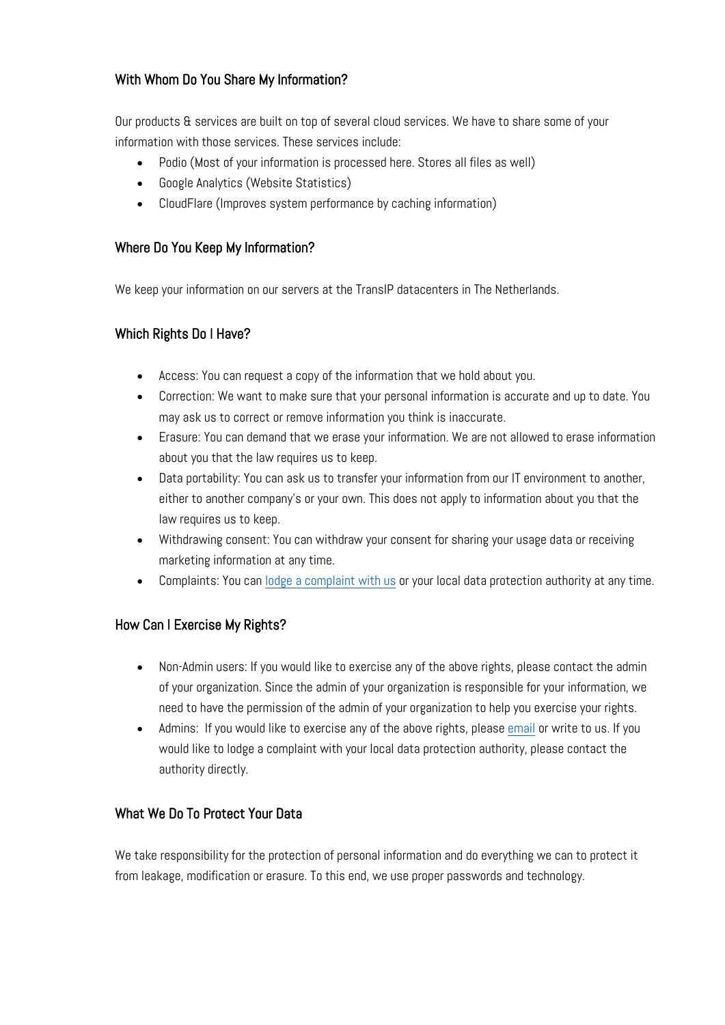# With Whom Do You Share My Information?

Our products & services are built on top of several cloud services. We have to share some of your information with those services. These services include:

- Podio (Most of your information is processed here. Stores all files as well)
- Google Analytics (Website Statistics)
- CloudFlare (Improves system performance by caching information)

## Where Do You Keep My Information?

We keep your information on our servers at the TransIP datacenters in The Netherlands.

### Which Rights Do I Have?

- Access: You can request a copy of the information that we hold about you.
- Correction: We want to make sure that your personal information is accurate and up to date. You may ask us to correct or remove information you think is inaccurate.
- Erasure: You can demand that we erase your information. We are not allowed to erase information about you that the law requires us to keep.
- Data portability: You can ask us to transfer your information from our IT environment to another, either to another company's or your own. This does not apply to information about you that the law requires us to keep.
- Withdrawing consent: You can withdraw your consent for sharing your usage data or receiving marketing information at any time.
- Complaints: You can lodge a complaint with us or your local data protection authority at any time.

# How Can I Exercise My Rights?

- Non-Admin users: If you would like to exercise any of the above rights, please contact the admin of your organization. Since the admin of your organization is responsible for your information, we need to have the permission of the admin of your organization to help you exercise your rights.
- Admins: If you would like to exercise any of the above rights, please email or write to us. If you would like to lodge a complaint with your local data protection authority, please contact the authority directly.

# What We Do To Protect Your Data

We take responsibility for the protection of personal information and do everything we can to protect it from leakage, modification or erasure. To this end, we use proper passwords and technology.